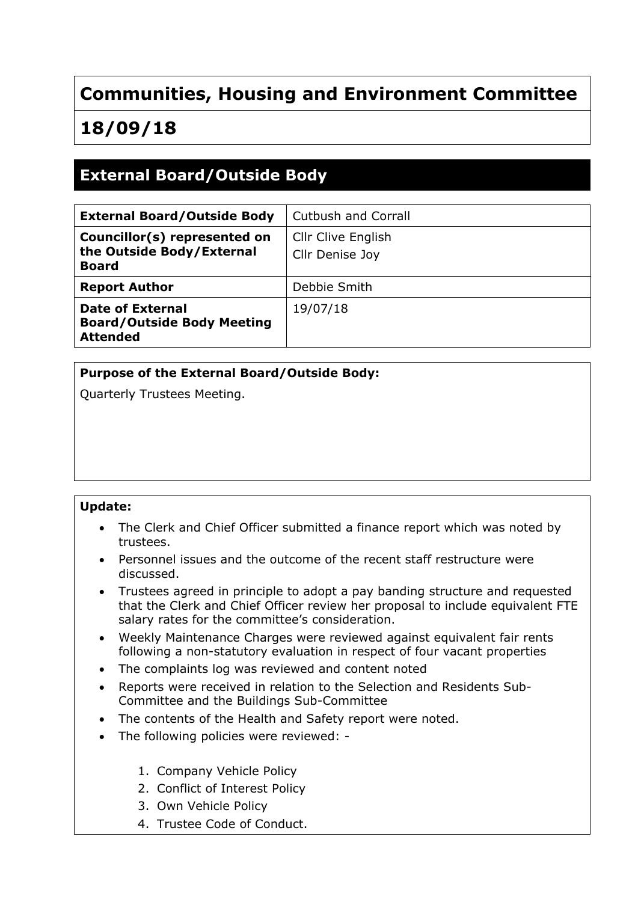# **Communities, Housing and Environment Committee**

# **18/09/18**

## **External Board/Outside Body**

| <b>External Board/Outside Body</b>                                        | Cutbush and Corrall                   |
|---------------------------------------------------------------------------|---------------------------------------|
| Councillor(s) represented on<br>the Outside Body/External<br><b>Board</b> | Cllr Clive English<br>Cllr Denise Joy |
| <b>Report Author</b>                                                      | Debbie Smith                          |
| Date of External<br><b>Board/Outside Body Meeting</b><br><b>Attended</b>  | 19/07/18                              |

### **Purpose of the External Board/Outside Body:**

Quarterly Trustees Meeting.

#### **Update:**

- The Clerk and Chief Officer submitted a finance report which was noted by trustees.
- Personnel issues and the outcome of the recent staff restructure were discussed.
- Trustees agreed in principle to adopt a pay banding structure and requested that the Clerk and Chief Officer review her proposal to include equivalent FTE salary rates for the committee's consideration.
- Weekly Maintenance Charges were reviewed against equivalent fair rents following a non-statutory evaluation in respect of four vacant properties
- The complaints log was reviewed and content noted
- Reports were received in relation to the Selection and Residents Sub-Committee and the Buildings Sub-Committee
- The contents of the Health and Safety report were noted.
- The following policies were reviewed: -
	- 1. Company Vehicle Policy
	- 2. Conflict of Interest Policy
	- 3. Own Vehicle Policy
	- 4. Trustee Code of Conduct.